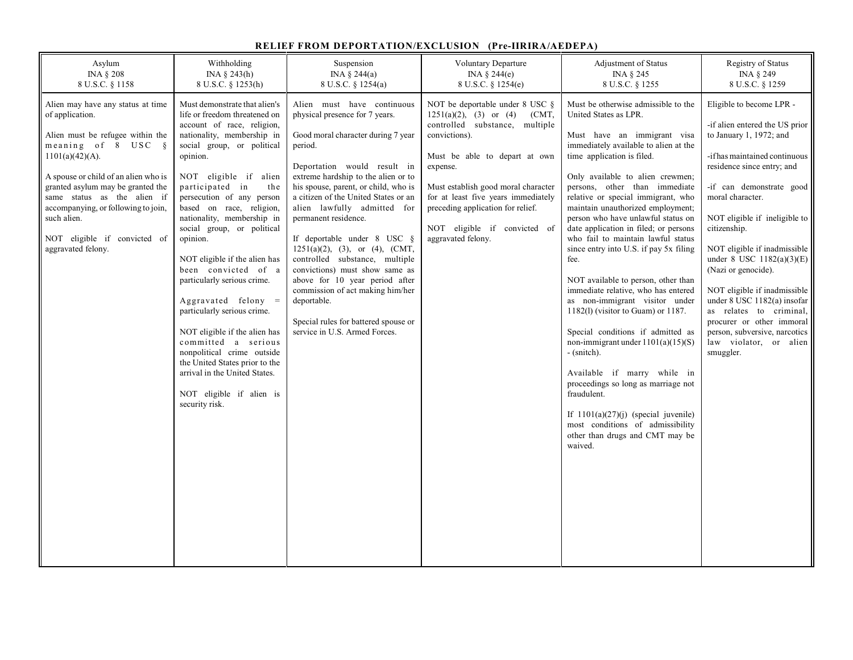## **RELIEF FROM DEPORTATION/EXCLUSION (Pre-IIRIRA/AEDEPA)**

| Asylum                                                                                                                                                                                                                                                                                                                                                       | Withholding                                                                                                                                                                                                                                                                                                                                                                                                                                                                                                                                                                                                                                                                                                    | Suspension                                                                                                                                                                                                                                                                                                                                                                                                                                                                                                                                                                                                                       | Voluntary Departure                                                                                                                                                                                                                                                                                                                                | Adjustment of Status                                                                                                                                                                                                                                                                                                                                                                                                                                                                                                                                                                                                                                                                                                                                                                                                                                                                                                                                           | Registry of Status                                                                                                                                                                                                                                                                                                                                                                                                                                                                                                                         |
|--------------------------------------------------------------------------------------------------------------------------------------------------------------------------------------------------------------------------------------------------------------------------------------------------------------------------------------------------------------|----------------------------------------------------------------------------------------------------------------------------------------------------------------------------------------------------------------------------------------------------------------------------------------------------------------------------------------------------------------------------------------------------------------------------------------------------------------------------------------------------------------------------------------------------------------------------------------------------------------------------------------------------------------------------------------------------------------|----------------------------------------------------------------------------------------------------------------------------------------------------------------------------------------------------------------------------------------------------------------------------------------------------------------------------------------------------------------------------------------------------------------------------------------------------------------------------------------------------------------------------------------------------------------------------------------------------------------------------------|----------------------------------------------------------------------------------------------------------------------------------------------------------------------------------------------------------------------------------------------------------------------------------------------------------------------------------------------------|----------------------------------------------------------------------------------------------------------------------------------------------------------------------------------------------------------------------------------------------------------------------------------------------------------------------------------------------------------------------------------------------------------------------------------------------------------------------------------------------------------------------------------------------------------------------------------------------------------------------------------------------------------------------------------------------------------------------------------------------------------------------------------------------------------------------------------------------------------------------------------------------------------------------------------------------------------------|--------------------------------------------------------------------------------------------------------------------------------------------------------------------------------------------------------------------------------------------------------------------------------------------------------------------------------------------------------------------------------------------------------------------------------------------------------------------------------------------------------------------------------------------|
| <b>INA § 208</b>                                                                                                                                                                                                                                                                                                                                             | INA $\S$ 243(h)                                                                                                                                                                                                                                                                                                                                                                                                                                                                                                                                                                                                                                                                                                | INA $\S$ 244(a)                                                                                                                                                                                                                                                                                                                                                                                                                                                                                                                                                                                                                  | INA $\S$ 244(e)                                                                                                                                                                                                                                                                                                                                    | INA § 245                                                                                                                                                                                                                                                                                                                                                                                                                                                                                                                                                                                                                                                                                                                                                                                                                                                                                                                                                      | INA § 249                                                                                                                                                                                                                                                                                                                                                                                                                                                                                                                                  |
| 8 U.S.C. § 1158                                                                                                                                                                                                                                                                                                                                              | 8 U.S.C. § 1253(h)                                                                                                                                                                                                                                                                                                                                                                                                                                                                                                                                                                                                                                                                                             | 8 U.S.C. § 1254(a)                                                                                                                                                                                                                                                                                                                                                                                                                                                                                                                                                                                                               | 8 U.S.C. § 1254(e)                                                                                                                                                                                                                                                                                                                                 | 8 U.S.C. § 1255                                                                                                                                                                                                                                                                                                                                                                                                                                                                                                                                                                                                                                                                                                                                                                                                                                                                                                                                                | 8 U.S.C. § 1259                                                                                                                                                                                                                                                                                                                                                                                                                                                                                                                            |
| Alien may have any status at time<br>of application.<br>Alien must be refugee within the<br>meaning of 8 USC §<br>$1101(a)(42)(A)$ .<br>A spouse or child of an alien who is<br>granted asylum may be granted the<br>same status as the alien if<br>accompanying, or following to join,<br>such alien.<br>NOT eligible if convicted of<br>aggravated felony. | Must demonstrate that alien's<br>life or freedom threatened on<br>account of race, religion,<br>nationality, membership in<br>social group, or political<br>opinion.<br>NOT eligible if alien<br>participated in<br>the<br>persecution of any person<br>based on race, religion,<br>nationality, membership in<br>social group, or political<br>opinion.<br>NOT eligible if the alien has<br>been convicted of a<br>particularly serious crime.<br>Aggravated felony $=$<br>particularly serious crime.<br>NOT eligible if the alien has<br>committed a serious<br>nonpolitical crime outside<br>the United States prior to the<br>arrival in the United States.<br>NOT eligible if alien is<br>security risk. | Alien must have continuous<br>physical presence for 7 years.<br>Good moral character during 7 year<br>period.<br>Deportation would result in<br>extreme hardship to the alien or to<br>his spouse, parent, or child, who is<br>a citizen of the United States or an<br>alien lawfully admitted for<br>permanent residence.<br>If deportable under 8 USC §<br>$1251(a)(2)$ , (3), or (4), (CMT,<br>controlled substance, multiple<br>convictions) must show same as<br>above for 10 year period after<br>commission of act making him/her<br>deportable.<br>Special rules for battered spouse or<br>service in U.S. Armed Forces. | NOT be deportable under $8$ USC $§$<br>$1251(a)(2)$ , (3) or (4)<br>(CMT,<br>controlled substance, multiple<br>convictions).<br>Must be able to depart at own<br>expense.<br>Must establish good moral character<br>for at least five years immediately<br>preceding application for relief.<br>NOT eligible if convicted of<br>aggravated felony. | Must be otherwise admissible to the<br>United States as LPR.<br>Must have an immigrant visa<br>immediately available to alien at the<br>time application is filed.<br>Only available to alien crewmen;<br>persons, other than immediate<br>relative or special immigrant, who<br>maintain unauthorized employment;<br>person who have unlawful status on<br>date application in filed; or persons<br>who fail to maintain lawful status<br>since entry into U.S. if pay 5x filing<br>fee.<br>NOT available to person, other than<br>immediate relative, who has entered<br>as non-immigrant visitor under<br>$1182(1)$ (visitor to Guam) or 1187.<br>Special conditions if admitted as<br>non-immigrant under $1101(a)(15)(S)$<br>- (snitch).<br>Available if marry while in<br>proceedings so long as marriage not<br>fraudulent.<br>If $1101(a)(27)(j)$ (special juvenile)<br>most conditions of admissibility<br>other than drugs and CMT may be<br>waived. | Eligible to become LPR -<br>-if alien entered the US prior<br>to January 1, 1972; and<br>-if has maintained continuous<br>residence since entry; and<br>-if can demonstrate good<br>moral character.<br>NOT eligible if ineligible to<br>citizenship.<br>NOT eligible if inadmissible<br>under 8 USC $1182(a)(3)(E)$<br>(Nazi or genocide).<br>NOT eligible if inadmissible<br>under 8 USC 1182(a) insofar<br>as relates to criminal,<br>procurer or other immoral<br>person, subversive, narcotics<br>law violator, or alien<br>smuggler. |